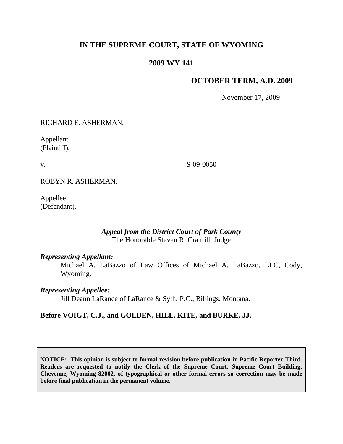# **IN THE SUPREME COURT, STATE OF WYOMING**

## **2009 WY 141**

### **OCTOBER TERM, A.D. 2009**

November 17, 2009

RICHARD E. ASHERMAN,

Appellant (Plaintiff),

v.

S-09-0050

ROBYN R. ASHERMAN,

Appellee (Defendant).

## *Appeal from the District Court of Park County* The Honorable Steven R. Cranfill, Judge

### *Representing Appellant:*

Michael A. LaBazzo of Law Offices of Michael A. LaBazzo, LLC, Cody, Wyoming.

### *Representing Appellee:*

Jill Deann LaRance of LaRance & Syth, P.C., Billings, Montana.

## **Before VOIGT, C.J., and GOLDEN, HILL, KITE, and BURKE, JJ.**

**NOTICE: This opinion is subject to formal revision before publication in Pacific Reporter Third. Readers are requested to notify the Clerk of the Supreme Court, Supreme Court Building, Cheyenne, Wyoming 82002, of typographical or other formal errors so correction may be made before final publication in the permanent volume.**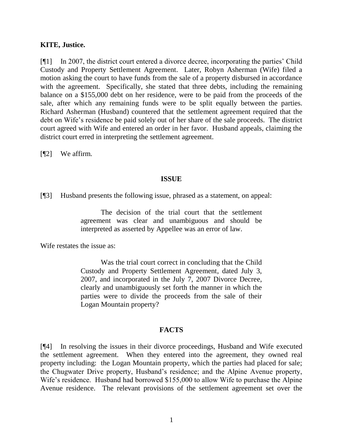#### **KITE, Justice.**

[¶1] In 2007, the district court entered a divorce decree, incorporating the parties" Child Custody and Property Settlement Agreement. Later, Robyn Asherman (Wife) filed a motion asking the court to have funds from the sale of a property disbursed in accordance with the agreement. Specifically, she stated that three debts, including the remaining balance on a \$155,000 debt on her residence, were to be paid from the proceeds of the sale, after which any remaining funds were to be split equally between the parties. Richard Asherman (Husband) countered that the settlement agreement required that the debt on Wife's residence be paid solely out of her share of the sale proceeds. The district court agreed with Wife and entered an order in her favor. Husband appeals, claiming the district court erred in interpreting the settlement agreement.

[¶2] We affirm.

#### **ISSUE**

[¶3] Husband presents the following issue, phrased as a statement, on appeal:

The decision of the trial court that the settlement agreement was clear and unambiguous and should be interpreted as asserted by Appellee was an error of law.

Wife restates the issue as:

Was the trial court correct in concluding that the Child Custody and Property Settlement Agreement, dated July 3, 2007, and incorporated in the July 7, 2007 Divorce Decree, clearly and unambiguously set forth the manner in which the parties were to divide the proceeds from the sale of their Logan Mountain property?

#### **FACTS**

[¶4] In resolving the issues in their divorce proceedings, Husband and Wife executed the settlement agreement. When they entered into the agreement, they owned real property including: the Logan Mountain property, which the parties had placed for sale; the Chugwater Drive property, Husband"s residence; and the Alpine Avenue property, Wife's residence. Husband had borrowed \$155,000 to allow Wife to purchase the Alpine Avenue residence. The relevant provisions of the settlement agreement set over the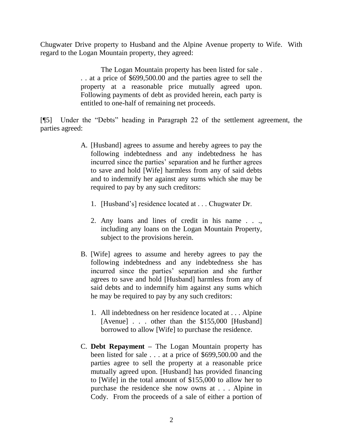Chugwater Drive property to Husband and the Alpine Avenue property to Wife. With regard to the Logan Mountain property, they agreed:

> The Logan Mountain property has been listed for sale . . . at a price of \$699,500.00 and the parties agree to sell the property at a reasonable price mutually agreed upon. Following payments of debt as provided herein, each party is entitled to one-half of remaining net proceeds.

[¶5] Under the "Debts" heading in Paragraph 22 of the settlement agreement, the parties agreed:

- A. [Husband] agrees to assume and hereby agrees to pay the following indebtedness and any indebtedness he has incurred since the parties' separation and he further agrees to save and hold [Wife] harmless from any of said debts and to indemnify her against any sums which she may be required to pay by any such creditors:
	- 1. [Husband"s] residence located at . . . Chugwater Dr.
	- 2. Any loans and lines of credit in his name . . ., including any loans on the Logan Mountain Property, subject to the provisions herein.
- B. [Wife] agrees to assume and hereby agrees to pay the following indebtedness and any indebtedness she has incurred since the parties" separation and she further agrees to save and hold [Husband] harmless from any of said debts and to indemnify him against any sums which he may be required to pay by any such creditors:
	- 1. All indebtedness on her residence located at . . . Alpine [Avenue] . . . other than the \$155,000 [Husband] borrowed to allow [Wife] to purchase the residence.
- C. **Debt Repayment –** The Logan Mountain property has been listed for sale . . . at a price of \$699,500.00 and the parties agree to sell the property at a reasonable price mutually agreed upon. [Husband] has provided financing to [Wife] in the total amount of \$155,000 to allow her to purchase the residence she now owns at . . . Alpine in Cody. From the proceeds of a sale of either a portion of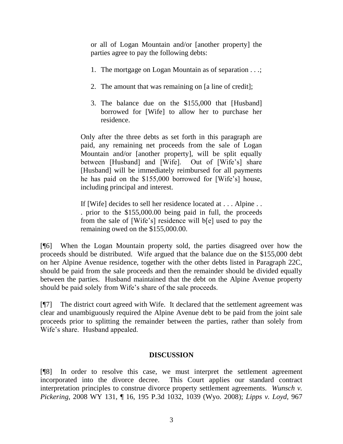or all of Logan Mountain and/or [another property] the parties agree to pay the following debts:

- 1. The mortgage on Logan Mountain as of separation . . .;
- 2. The amount that was remaining on [a line of credit];
- 3. The balance due on the \$155,000 that [Husband] borrowed for [Wife] to allow her to purchase her residence.

Only after the three debts as set forth in this paragraph are paid, any remaining net proceeds from the sale of Logan Mountain and/or [another property], will be split equally between [Husband] and [Wife]. Out of [Wife's] share [Husband] will be immediately reimbursed for all payments he has paid on the \$155,000 borrowed for [Wife"s] house, including principal and interest.

If [Wife] decides to sell her residence located at . . . Alpine . . . prior to the \$155,000.00 being paid in full, the proceeds from the sale of [Wife"s] residence will b[e] used to pay the remaining owed on the \$155,000.00.

[¶6] When the Logan Mountain property sold, the parties disagreed over how the proceeds should be distributed. Wife argued that the balance due on the \$155,000 debt on her Alpine Avenue residence, together with the other debts listed in Paragraph 22C, should be paid from the sale proceeds and then the remainder should be divided equally between the parties. Husband maintained that the debt on the Alpine Avenue property should be paid solely from Wife's share of the sale proceeds.

[¶7] The district court agreed with Wife. It declared that the settlement agreement was clear and unambiguously required the Alpine Avenue debt to be paid from the joint sale proceeds prior to splitting the remainder between the parties, rather than solely from Wife's share. Husband appealed.

## **DISCUSSION**

[¶8] In order to resolve this case, we must interpret the settlement agreement incorporated into the divorce decree. This Court applies our standard contract interpretation principles to construe divorce property settlement agreements. *Wunsch v. Pickering,* 2008 WY 131, ¶ 16, 195 P.3d 1032, 1039 (Wyo. 2008); *Lipps v. Loyd,* 967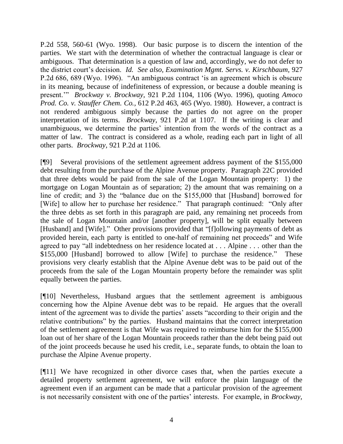P.2d 558, 560-61 (Wyo. 1998). Our basic purpose is to discern the intention of the parties. We start with the determination of whether the contractual language is clear or ambiguous. That determination is a question of law and, accordingly, we do not defer to the district court"s decision. *Id. See also, Examination Mgmt. Servs. v. Kirschbaum,* 927 P.2d 686, 689 (Wyo. 1996). "An ambiguous contract "is an agreement which is obscure in its meaning, because of indefiniteness of expression, or because a double meaning is present."" *Brockway v. Brockway,* 921 P.2d 1104, 1106 (Wyo. 1996), quoting *Amoco Prod. Co. v. Stauffer Chem. Co.,* 612 P.2d 463, 465 (Wyo. 1980). However, a contract is not rendered ambiguous simply because the parties do not agree on the proper interpretation of its terms. *Brockway,* 921 P.2d at 1107. If the writing is clear and unambiguous, we determine the parties" intention from the words of the contract as a matter of law. The contract is considered as a whole, reading each part in light of all other parts. *Brockway,* 921 P.2d at 1106.

[¶9] Several provisions of the settlement agreement address payment of the \$155,000 debt resulting from the purchase of the Alpine Avenue property. Paragraph 22C provided that three debts would be paid from the sale of the Logan Mountain property: 1) the mortgage on Logan Mountain as of separation; 2) the amount that was remaining on a line of credit; and 3) the "balance due on the \$155,000 that [Husband] borrowed for [Wife] to allow her to purchase her residence." That paragraph continued: "Only after the three debts as set forth in this paragraph are paid, any remaining net proceeds from the sale of Logan Mountain and/or [another property], will be split equally between [Husband] and [Wife]." Other provisions provided that "[f]ollowing payments of debt as provided herein, each party is entitled to one-half of remaining net proceeds" and Wife agreed to pay "all indebtedness on her residence located at . . . Alpine . . . other than the \$155,000 [Husband] borrowed to allow [Wife] to purchase the residence." These provisions very clearly establish that the Alpine Avenue debt was to be paid out of the proceeds from the sale of the Logan Mountain property before the remainder was split equally between the parties.

[¶10] Nevertheless, Husband argues that the settlement agreement is ambiguous concerning how the Alpine Avenue debt was to be repaid. He argues that the overall intent of the agreement was to divide the parties' assets "according to their origin and the relative contributions" by the parties. Husband maintains that the correct interpretation of the settlement agreement is that Wife was required to reimburse him for the \$155,000 loan out of her share of the Logan Mountain proceeds rather than the debt being paid out of the joint proceeds because he used his credit, i.e., separate funds, to obtain the loan to purchase the Alpine Avenue property.

[¶11] We have recognized in other divorce cases that, when the parties execute a detailed property settlement agreement, we will enforce the plain language of the agreement even if an argument can be made that a particular provision of the agreement is not necessarily consistent with one of the parties' interests. For example, in *Brockway*,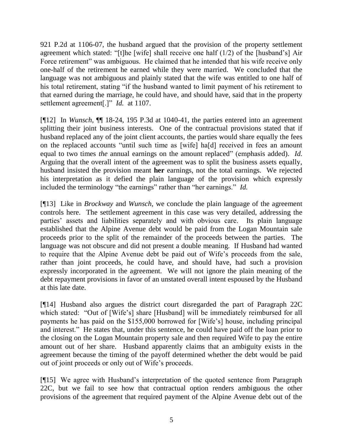921 P.2d at 1106-07, the husband argued that the provision of the property settlement agreement which stated: "[t]he [wife] shall receive one half (1/2) of the [husband"s] Air Force retirement" was ambiguous. He claimed that he intended that his wife receive only one-half of the retirement he earned while they were married. We concluded that the language was not ambiguous and plainly stated that the wife was entitled to one half of his total retirement, stating "if the husband wanted to limit payment of his retirement to that earned during the marriage, he could have, and should have, said that in the property settlement agreement[.]" *Id.* at 1107.

[¶12] In *Wunsch,* ¶¶ 18-24, 195 P.3d at 1040-41, the parties entered into an agreement splitting their joint business interests. One of the contractual provisions stated that if husband replaced any of the joint client accounts, the parties would share equally the fees on the replaced accounts "until such time as [wife] ha[d] received in fees an amount equal to two times *the* annual earnings on the amount replaced" (emphasis added). *Id.* Arguing that the overall intent of the agreement was to split the business assets equally, husband insisted the provision meant **her** earnings, not the total earnings. We rejected his interpretation as it defied the plain language of the provision which expressly included the terminology "the earnings" rather than "her earnings." *Id.* 

[¶13] Like in *Brockway* and *Wunsch*, we conclude the plain language of the agreement controls here. The settlement agreement in this case was very detailed, addressing the parties" assets and liabilities separately and with obvious care. Its plain language established that the Alpine Avenue debt would be paid from the Logan Mountain sale proceeds prior to the split of the remainder of the proceeds between the parties. The language was not obscure and did not present a double meaning. If Husband had wanted to require that the Alpine Avenue debt be paid out of Wife"s proceeds from the sale, rather than joint proceeds, he could have, and should have, had such a provision expressly incorporated in the agreement. We will not ignore the plain meaning of the debt repayment provisions in favor of an unstated overall intent espoused by the Husband at this late date.

[¶14] Husband also argues the district court disregarded the part of Paragraph 22C which stated: "Out of [Wife's] share [Husband] will be immediately reimbursed for all payments he has paid on the \$155,000 borrowed for [Wife"s] house, including principal and interest." He states that, under this sentence, he could have paid off the loan prior to the closing on the Logan Mountain property sale and then required Wife to pay the entire amount out of her share. Husband apparently claims that an ambiguity exists in the agreement because the timing of the payoff determined whether the debt would be paid out of joint proceeds or only out of Wife"s proceeds.

[¶15] We agree with Husband"s interpretation of the quoted sentence from Paragraph 22C, but we fail to see how that contractual option renders ambiguous the other provisions of the agreement that required payment of the Alpine Avenue debt out of the